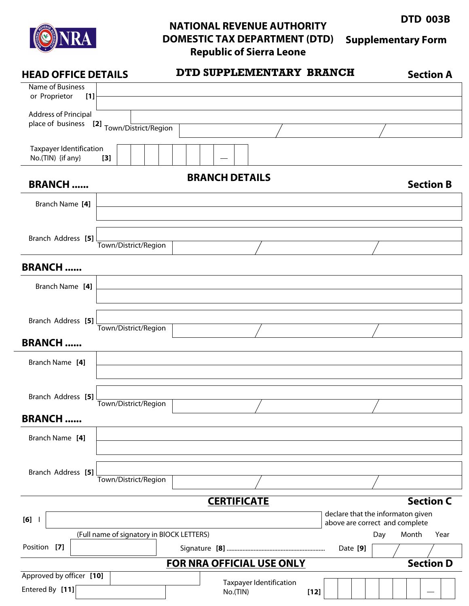

## **NATIONAL REVENUE AUTHORITY DOMESTIC TAX DEPARTMENT (DTD) Republic of Sierra Leone Supplementary Form**

**DTD 003B**

**HEAD OFFICE DETAILS DTD SUPPLEMENTARY BRANCH** Name of Business or Proprietor **[1]** Address of Principal place of business **[2]** Town/District/Region Taxpayer Identification No.(TIN) {if any} **[3] CERTIFICATE FOR NRA OFFICIAL USE ONLY** Approved by officer **[10]** Entered By **[11]** Taxpayer Identification No.(TIN) **[12] Section D BRANCH DETAILS BRANCH ......** Branch Name **[4]** Branch Address **[5]** Town/District/Region Town/District/Region Branch Name **[4] BRANCH ......** (Full name of signatory in BlOCK LETTERS) **[6]** I **Section B Section A Section C** Town/District/Region **BRANCH ......** Town/District/Region **BRANCH ......** declare that the informaton given above are correct and complete Position **[7]** Signature **[8]** .............................................................. Day Month Year Date **[9]** Branch Address **[5]** Branch Address **[5]** Branch Address **[5]** Branch Name **[4]** Branch Name **[4]**